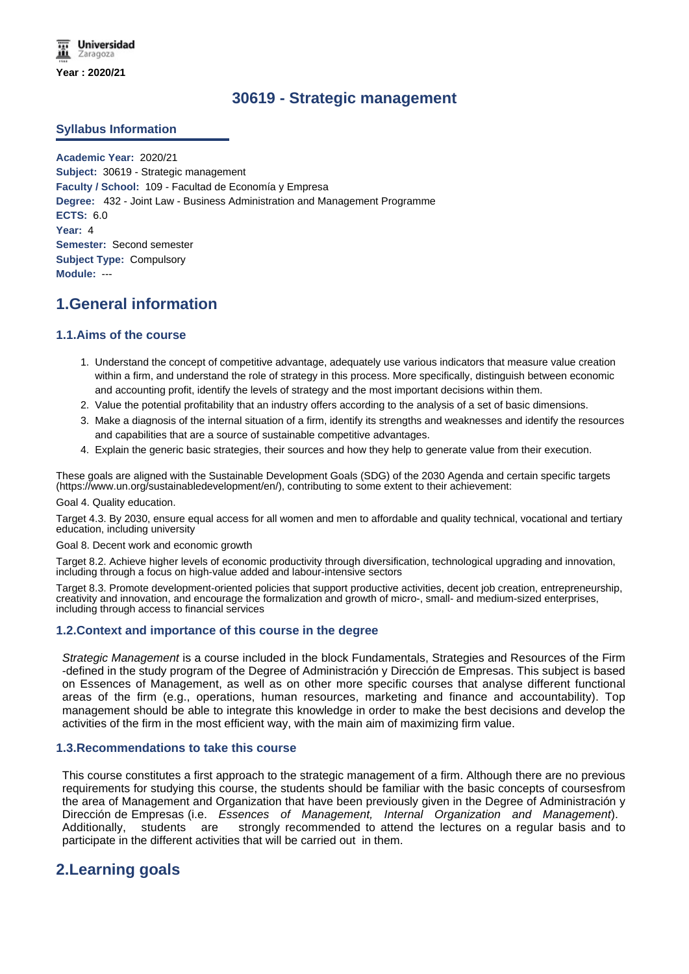# **30619 - Strategic management**

#### **Syllabus Information**

**Academic Year:** 2020/21 **Subject:** 30619 - Strategic management **Faculty / School:** 109 - Facultad de Economía y Empresa **Degree:** 432 - Joint Law - Business Administration and Management Programme **ECTS:** 6.0 **Year:** 4 **Semester:** Second semester **Subject Type:** Compulsory **Module:** ---

# **1.General information**

#### **1.1.Aims of the course**

- 1. Understand the concept of competitive advantage, adequately use various indicators that measure value creation within a firm, and understand the role of strategy in this process. More specifically, distinguish between economic and accounting profit, identify the levels of strategy and the most important decisions within them.
- 2. Value the potential profitability that an industry offers according to the analysis of a set of basic dimensions.
- 3. Make a diagnosis of the internal situation of a firm, identify its strengths and weaknesses and identify the resources and capabilities that are a source of sustainable competitive advantages.
- 4. Explain the generic basic strategies, their sources and how they help to generate value from their execution.

These goals are aligned with the Sustainable Development Goals (SDG) of the 2030 Agenda and certain specific targets (https://www.un.org/sustainabledevelopment/en/), contributing to some extent to their achievement:

Goal 4. Quality education.

Target 4.3. By 2030, ensure equal access for all women and men to affordable and quality technical, vocational and tertiary education, including university

Goal 8. Decent work and economic growth

Target 8.2. Achieve higher levels of economic productivity through diversification, technological upgrading and innovation, including through a focus on high-value added and labour-intensive sectors

Target 8.3. Promote development-oriented policies that support productive activities, decent job creation, entrepreneurship, creativity and innovation, and encourage the formalization and growth of micro-, small- and medium-sized enterprises, including through access to financial services

#### **1.2.Context and importance of this course in the degree**

*Strategic Management* is a course included in the block Fundamentals, Strategies and Resources of the Firm -defined in the study program of the Degree of Administración y Dirección de Empresas. This subject is based on Essences of Management, as well as on other more specific courses that analyse different functional areas of the firm (e.g., operations, human resources, marketing and finance and accountability). Top management should be able to integrate this knowledge in order to make the best decisions and develop the activities of the firm in the most efficient way, with the main aim of maximizing firm value.

#### **1.3.Recommendations to take this course**

This course constitutes a first approach to the strategic management of a firm. Although there are no previous requirements for studying this course, the students should be familiar with the basic concepts of coursesfrom the area of Management and Organization that have been previously given in the Degree of Administración y Dirección de Empresas (i.e. *Essences of Management, Internal Organization and Management*). Additionally, students are strongly recommended to attend the lectures on a regular basis and to participate in the different activities that will be carried out in them.

# **2.Learning goals**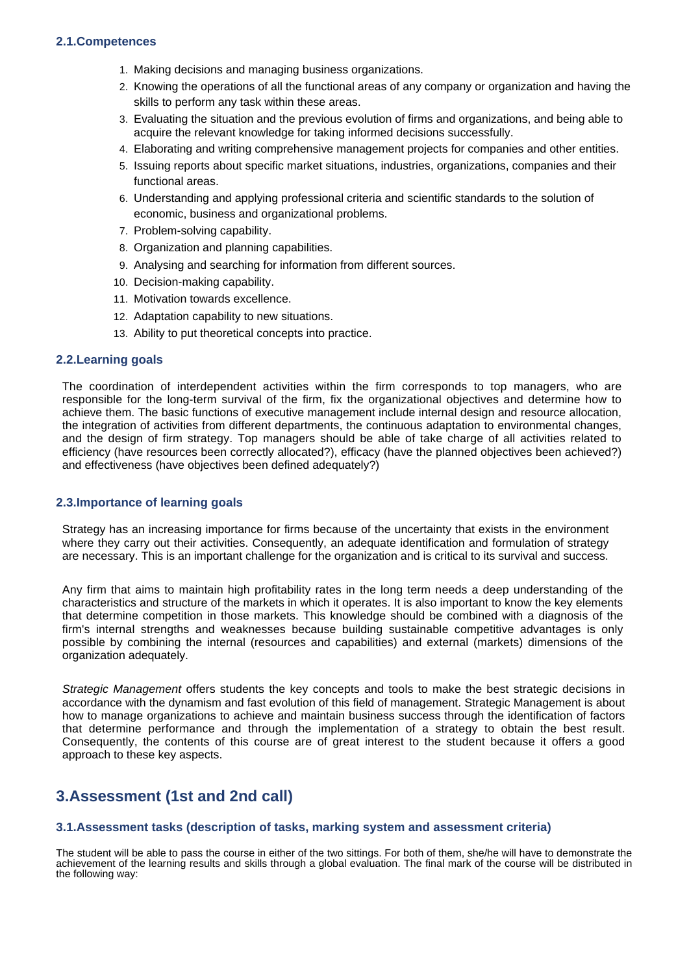- 1. Making decisions and managing business organizations.
- 2. Knowing the operations of all the functional areas of any company or organization and having the skills to perform any task within these areas.
- 3. Evaluating the situation and the previous evolution of firms and organizations, and being able to acquire the relevant knowledge for taking informed decisions successfully.
- 4. Elaborating and writing comprehensive management projects for companies and other entities.
- 5. Issuing reports about specific market situations, industries, organizations, companies and their functional areas.
- 6. Understanding and applying professional criteria and scientific standards to the solution of economic, business and organizational problems.
- 7. Problem-solving capability.
- 8. Organization and planning capabilities.
- 9. Analysing and searching for information from different sources.
- 10. Decision-making capability.
- 11. Motivation towards excellence.
- 12. Adaptation capability to new situations.
- 13. Ability to put theoretical concepts into practice.

#### **2.2.Learning goals**

The coordination of interdependent activities within the firm corresponds to top managers, who are responsible for the long-term survival of the firm, fix the organizational objectives and determine how to achieve them. The basic functions of executive management include internal design and resource allocation, the integration of activities from different departments, the continuous adaptation to environmental changes, and the design of firm strategy. Top managers should be able of take charge of all activities related to efficiency (have resources been correctly allocated?), efficacy (have the planned objectives been achieved?) and effectiveness (have objectives been defined adequately?)

#### **2.3.Importance of learning goals**

Strategy has an increasing importance for firms because of the uncertainty that exists in the environment where they carry out their activities. Consequently, an adequate identification and formulation of strategy are necessary. This is an important challenge for the organization and is critical to its survival and success.

Any firm that aims to maintain high profitability rates in the long term needs a deep understanding of the characteristics and structure of the markets in which it operates. It is also important to know the key elements that determine competition in those markets. This knowledge should be combined with a diagnosis of the firm's internal strengths and weaknesses because building sustainable competitive advantages is only possible by combining the internal (resources and capabilities) and external (markets) dimensions of the organization adequately.

*Strategic Management* offers students the key concepts and tools to make the best strategic decisions in accordance with the dynamism and fast evolution of this field of management. Strategic Management is about how to manage organizations to achieve and maintain business success through the identification of factors that determine performance and through the implementation of a strategy to obtain the best result. Consequently, the contents of this course are of great interest to the student because it offers a good approach to these key aspects.

# **3.Assessment (1st and 2nd call)**

#### **3.1.Assessment tasks (description of tasks, marking system and assessment criteria)**

The student will be able to pass the course in either of the two sittings. For both of them, she/he will have to demonstrate the achievement of the learning results and skills through a global evaluation. The final mark of the course will be distributed in the following way: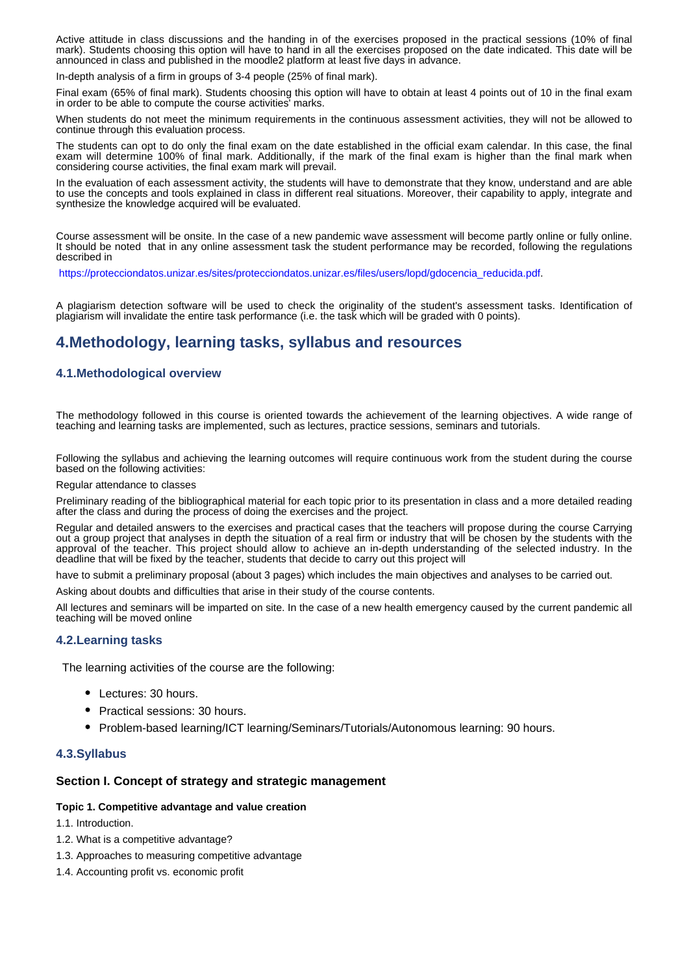Active attitude in class discussions and the handing in of the exercises proposed in the practical sessions (10% of final mark). Students choosing this option will have to hand in all the exercises proposed on the date indicated. This date will be announced in class and published in the moodle2 platform at least five days in advance.

In-depth analysis of a firm in groups of 3-4 people (25% of final mark).

Final exam (65% of final mark). Students choosing this option will have to obtain at least 4 points out of 10 in the final exam in order to be able to compute the course activities' marks.

When students do not meet the minimum requirements in the continuous assessment activities, they will not be allowed to continue through this evaluation process.

The students can opt to do only the final exam on the date established in the official exam calendar. In this case, the final exam will determine 100% of final mark. Additionally, if the mark of the final exam is higher than the final mark when considering course activities, the final exam mark will prevail.

In the evaluation of each assessment activity, the students will have to demonstrate that they know, understand and are able to use the concepts and tools explained in class in different real situations. Moreover, their capability to apply, integrate and synthesize the knowledge acquired will be evaluated.

Course assessment will be onsite. In the case of a new pandemic wave assessment will become partly online or fully online. It should be noted that in any online assessment task the student performance may be recorded, following the regulations described in

https://protecciondatos.unizar.es/sites/protecciondatos.unizar.es/files/users/lopd/gdocencia\_reducida.pdf.

A plagiarism detection software will be used to check the originality of the student's assessment tasks. Identification of plagiarism will invalidate the entire task performance (i.e. the task which will be graded with 0 points).

## **4.Methodology, learning tasks, syllabus and resources**

#### **4.1.Methodological overview**

The methodology followed in this course is oriented towards the achievement of the learning objectives. A wide range of teaching and learning tasks are implemented, such as lectures, practice sessions, seminars and tutorials.

Following the syllabus and achieving the learning outcomes will require continuous work from the student during the course based on the following activities:

Regular attendance to classes

Preliminary reading of the bibliographical material for each topic prior to its presentation in class and a more detailed reading after the class and during the process of doing the exercises and the project.

Regular and detailed answers to the exercises and practical cases that the teachers will propose during the course Carrying out a group project that analyses in depth the situation of a real firm or industry that will be chosen by the students with the approval of the teacher. This project should allow to achieve an in-depth understanding of the selected industry. In the deadline that will be fixed by the teacher, students that decide to carry out this project will

have to submit a preliminary proposal (about 3 pages) which includes the main objectives and analyses to be carried out.

Asking about doubts and difficulties that arise in their study of the course contents.

All lectures and seminars will be imparted on site. In the case of a new health emergency caused by the current pandemic all teaching will be moved online

#### **4.2.Learning tasks**

The learning activities of the course are the following:

- Lectures: 30 hours.
- Practical sessions: 30 hours.
- Problem-based learning/ICT learning/Seminars/Tutorials/Autonomous learning: 90 hours.

#### **4.3.Syllabus**

#### **Section I. Concept of strategy and strategic management**

#### **Topic 1. Competitive advantage and value creation**

1.1. Introduction.

- 1.2. What is a competitive advantage?
- 1.3. Approaches to measuring competitive advantage
- 1.4. Accounting profit vs. economic profit